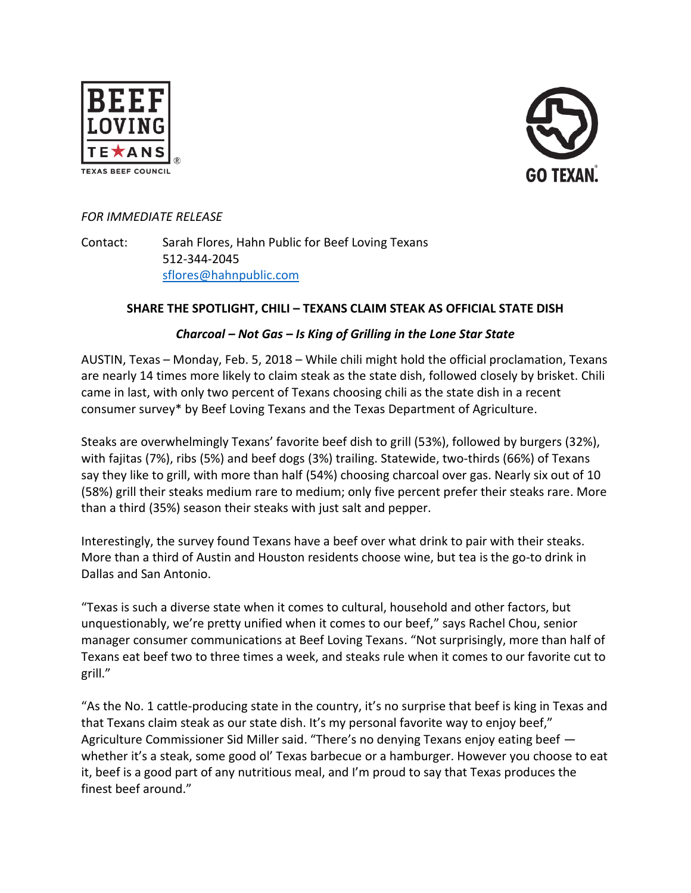



### *FOR IMMEDIATE RELEASE*

Contact: Sarah Flores, Hahn Public for Beef Loving Texans 512-344-2045 [sflores@hahnpublic.com](mailto:sflores@hahnpublic.com)

### **SHARE THE SPOTLIGHT, CHILI – TEXANS CLAIM STEAK AS OFFICIAL STATE DISH**

#### *Charcoal – Not Gas – Is King of Grilling in the Lone Star State*

AUSTIN, Texas – Monday, Feb. 5, 2018 – While chili might hold the official proclamation, Texans are nearly 14 times more likely to claim steak as the state dish, followed closely by brisket. Chili came in last, with only two percent of Texans choosing chili as the state dish in a recent consumer survey\* by Beef Loving Texans and the Texas Department of Agriculture.

Steaks are overwhelmingly Texans' favorite beef dish to grill (53%), followed by burgers (32%), with fajitas (7%), ribs (5%) and beef dogs (3%) trailing. Statewide, two-thirds (66%) of Texans say they like to grill, with more than half (54%) choosing charcoal over gas. Nearly six out of 10 (58%) grill their steaks medium rare to medium; only five percent prefer their steaks rare. More than a third (35%) season their steaks with just salt and pepper.

Interestingly, the survey found Texans have a beef over what drink to pair with their steaks. More than a third of Austin and Houston residents choose wine, but tea is the go-to drink in Dallas and San Antonio.

"Texas is such a diverse state when it comes to cultural, household and other factors, but unquestionably, we're pretty unified when it comes to our beef," says Rachel Chou, senior manager consumer communications at Beef Loving Texans. "Not surprisingly, more than half of Texans eat beef two to three times a week, and steaks rule when it comes to our favorite cut to grill."

"As the No. 1 cattle-producing state in the country, it's no surprise that beef is king in Texas and that Texans claim steak as our state dish. It's my personal favorite way to enjoy beef," Agriculture Commissioner Sid Miller said. "There's no denying Texans enjoy eating beef whether it's a steak, some good ol' Texas barbecue or a hamburger. However you choose to eat it, beef is a good part of any nutritious meal, and I'm proud to say that Texas produces the finest beef around."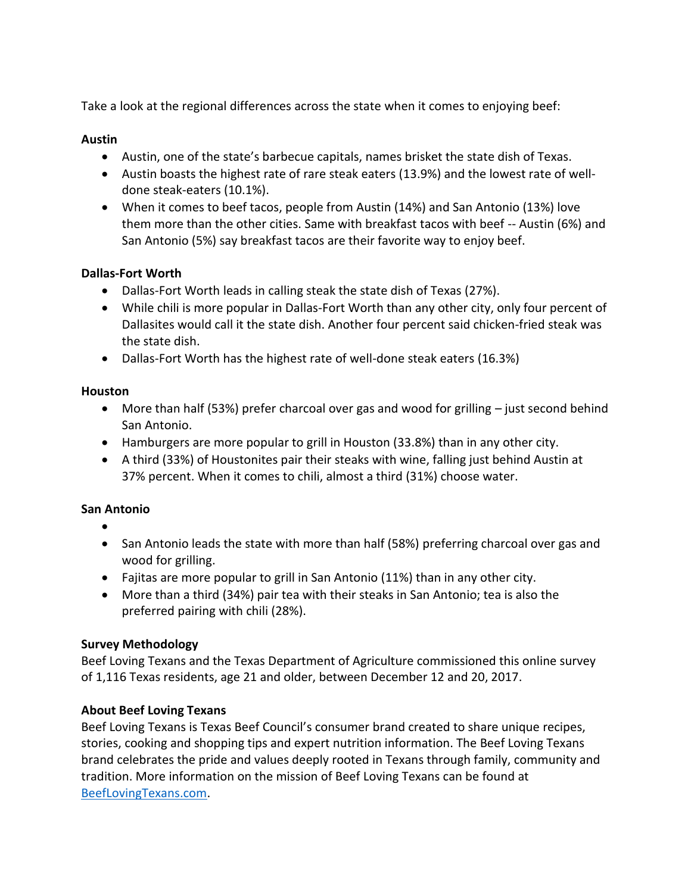Take a look at the regional differences across the state when it comes to enjoying beef:

### **Austin**

- Austin, one of the state's barbecue capitals, names brisket the state dish of Texas.
- Austin boasts the highest rate of rare steak eaters (13.9%) and the lowest rate of welldone steak-eaters (10.1%).
- When it comes to beef tacos, people from Austin (14%) and San Antonio (13%) love them more than the other cities. Same with breakfast tacos with beef -- Austin (6%) and San Antonio (5%) say breakfast tacos are their favorite way to enjoy beef.

# **Dallas-Fort Worth**

- Dallas-Fort Worth leads in calling steak the state dish of Texas (27%).
- While chili is more popular in Dallas-Fort Worth than any other city, only four percent of Dallasites would call it the state dish. Another four percent said chicken-fried steak was the state dish.
- Dallas-Fort Worth has the highest rate of well-done steak eaters (16.3%)

#### **Houston**

- More than half (53%) prefer charcoal over gas and wood for grilling just second behind San Antonio.
- Hamburgers are more popular to grill in Houston (33.8%) than in any other city.
- A third (33%) of Houstonites pair their steaks with wine, falling just behind Austin at 37% percent. When it comes to chili, almost a third (31%) choose water.

# **San Antonio**

- •
- San Antonio leads the state with more than half (58%) preferring charcoal over gas and wood for grilling.
- Fajitas are more popular to grill in San Antonio (11%) than in any other city.
- More than a third (34%) pair tea with their steaks in San Antonio; tea is also the preferred pairing with chili (28%).

# **Survey Methodology**

Beef Loving Texans and the Texas Department of Agriculture commissioned this online survey of 1,116 Texas residents, age 21 and older, between December 12 and 20, 2017.

# **About Beef Loving Texans**

Beef Loving Texans is Texas Beef Council's consumer brand created to share unique recipes, stories, cooking and shopping tips and expert nutrition information. The Beef Loving Texans brand celebrates the pride and values deeply rooted in Texans through family, community and tradition. More information on the mission of Beef Loving Texans can be found at [BeefLovingTexans.com.](https://www.beeflovingtexans.com/)